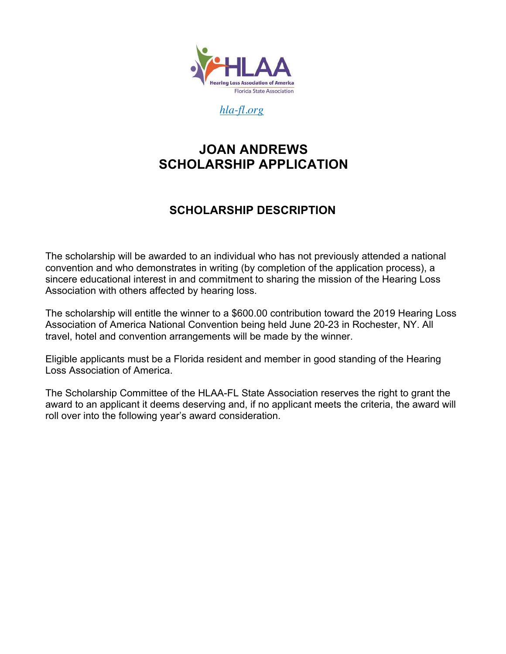

*hla-fl.org*

## **JOAN ANDREWS SCHOLARSHIP APPLICATION**

## **SCHOLARSHIP DESCRIPTION**

The scholarship will be awarded to an individual who has not previously attended a national convention and who demonstrates in writing (by completion of the application process), a sincere educational interest in and commitment to sharing the mission of the Hearing Loss Association with others affected by hearing loss.

The scholarship will entitle the winner to a \$600.00 contribution toward the 2019 Hearing Loss Association of America National Convention being held June 20-23 in Rochester, NY. All travel, hotel and convention arrangements will be made by the winner.

Eligible applicants must be a Florida resident and member in good standing of the Hearing Loss Association of America.

The Scholarship Committee of the HLAA-FL State Association reserves the right to grant the award to an applicant it deems deserving and, if no applicant meets the criteria, the award will roll over into the following year's award consideration.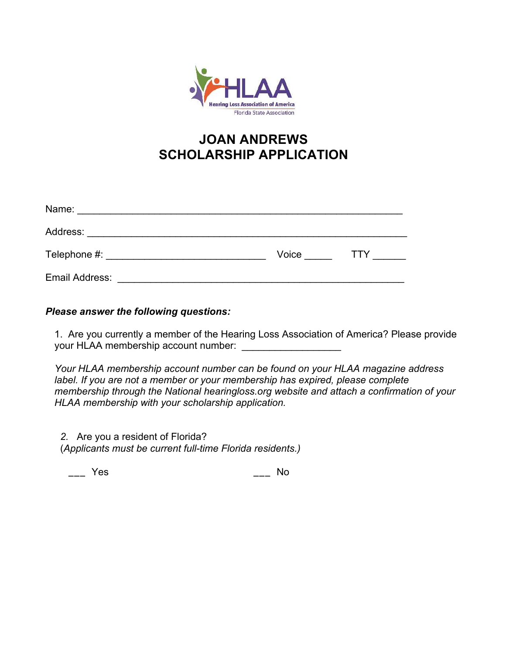

# **JOAN ANDREWS SCHOLARSHIP APPLICATION**

| Name:          |       |     |
|----------------|-------|-----|
| Address:       |       |     |
| Telephone #:   | Voice | TTY |
| Email Address: |       |     |

#### *Please answer the following questions:*

1. Are you currently a member of the Hearing Loss Association of America? Please provide your HLAA membership account number:

*Your HLAA membership account number can be found on your HLAA magazine address*  label. If you are not a member or your membership has expired, please complete *membership through the National hearingloss.org website and attach a confirmation of your HLAA membership with your scholarship application.* 

*2.* Are you a resident of Florida? (*Applicants must be current full-time Florida residents.)* 

\_\_\_ Yes \_\_\_ No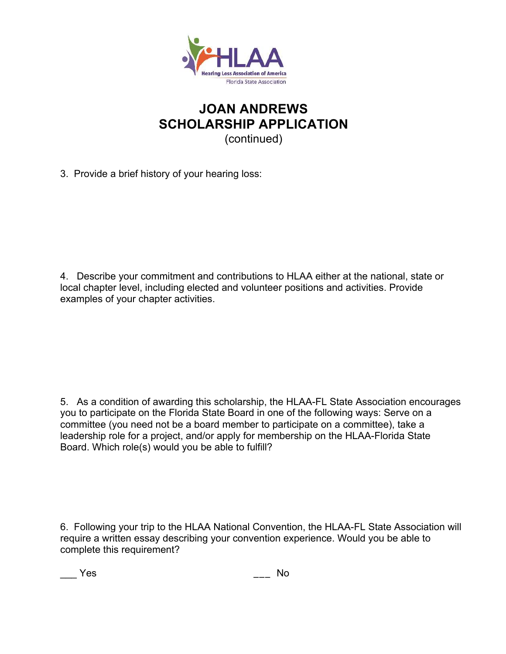

## **JOAN ANDREWS SCHOLARSHIP APPLICATION** (continued)

3. Provide a brief history of your hearing loss:

4. Describe your commitment and contributions to HLAA either at the national, state or local chapter level, including elected and volunteer positions and activities. Provide examples of your chapter activities.

5. As a condition of awarding this scholarship, the HLAA-FL State Association encourages you to participate on the Florida State Board in one of the following ways: Serve on a committee (you need not be a board member to participate on a committee), take a leadership role for a project, and/or apply for membership on the HLAA-Florida State Board. Which role(s) would you be able to fulfill?

6. Following your trip to the HLAA National Convention, the HLAA-FL State Association will require a written essay describing your convention experience. Would you be able to complete this requirement?

\_\_\_ Yes \_\_\_ No